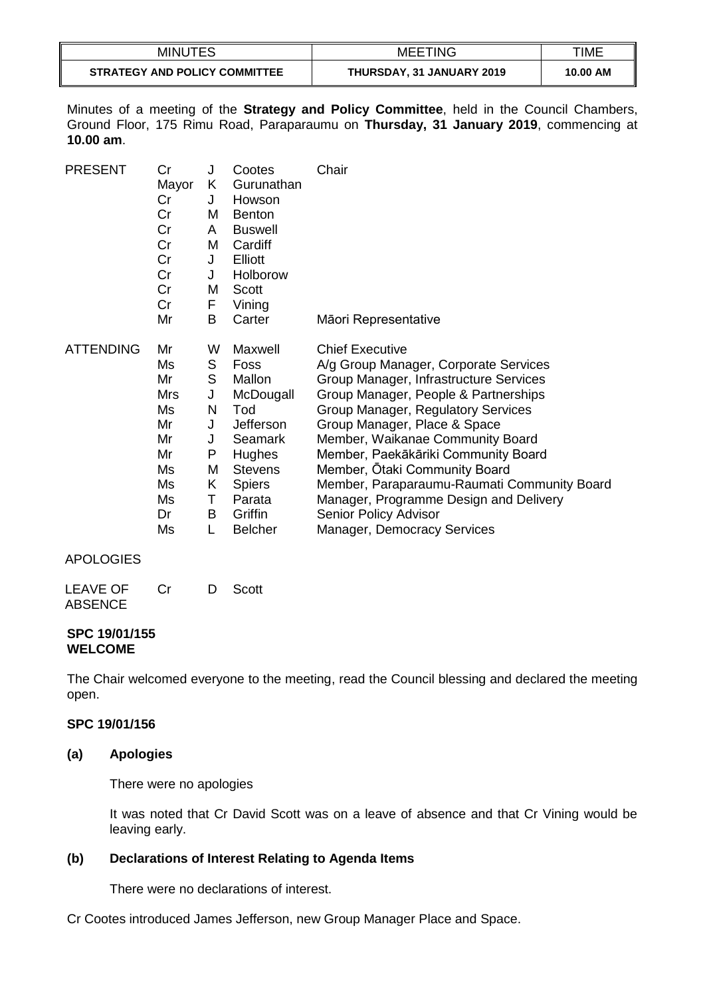| <b>MINUTES</b>                       | <b>MEETING</b>            | TIME     |
|--------------------------------------|---------------------------|----------|
| <b>STRATEGY AND POLICY COMMITTEE</b> | THURSDAY, 31 JANUARY 2019 | 10.00 AM |

Minutes of a meeting of the **Strategy and Policy Committee**, held in the Council Chambers, Ground Floor, 175 Rimu Road, Paraparaumu on **Thursday, 31 January 2019**, commencing at **10.00 am**.

| <b>PRESENT</b>   | Cr    | J | Cootes         | Chair                                       |
|------------------|-------|---|----------------|---------------------------------------------|
|                  | Mayor | K | Gurunathan     |                                             |
|                  | Cr    | J | Howson         |                                             |
|                  | Cr    | M | <b>Benton</b>  |                                             |
|                  | Cr    | A | <b>Buswell</b> |                                             |
|                  | Cr    | M | Cardiff        |                                             |
|                  | Cr    | J | Elliott        |                                             |
|                  | Cr    | J | Holborow       |                                             |
|                  | Cr    | M | Scott          |                                             |
|                  | Cr    | F | Vining         |                                             |
|                  | Mr    | В | Carter         | Māori Representative                        |
| <b>ATTENDING</b> | Mr    | W | Maxwell        | <b>Chief Executive</b>                      |
|                  | Ms    | S | Foss           | A/g Group Manager, Corporate Services       |
|                  | Mr    | S | Mallon         | Group Manager, Infrastructure Services      |
|                  | Mrs   | J | McDougall      | Group Manager, People & Partnerships        |
|                  | Ms    | N | Tod            | <b>Group Manager, Regulatory Services</b>   |
|                  | Mr    | J | Jefferson      | Group Manager, Place & Space                |
|                  | Mr    | J | Seamark        | Member, Waikanae Community Board            |
|                  | Mr    | P | <b>Hughes</b>  | Member, Paekākāriki Community Board         |
|                  | Ms    | M | <b>Stevens</b> | Member, Otaki Community Board               |
|                  | Ms    | Κ | <b>Spiers</b>  | Member, Paraparaumu-Raumati Community Board |
|                  | Ms    | т | Parata         | Manager, Programme Design and Delivery      |
|                  | Dr    | В | Griffin        | Senior Policy Advisor                       |
|                  | Ms    |   | <b>Belcher</b> | <b>Manager, Democracy Services</b>          |

#### APOLOGIES

| <b>LEAVE OF</b> | .Cr | D Scott |
|-----------------|-----|---------|
| <b>ABSENCE</b>  |     |         |

#### **SPC 19/01/155 WELCOME**

The Chair welcomed everyone to the meeting, read the Council blessing and declared the meeting open.

## **SPC 19/01/156**

#### **(a) Apologies**

There were no apologies

It was noted that Cr David Scott was on a leave of absence and that Cr Vining would be leaving early.

## **(b) Declarations of Interest Relating to Agenda Items**

There were no declarations of interest.

Cr Cootes introduced James Jefferson, new Group Manager Place and Space.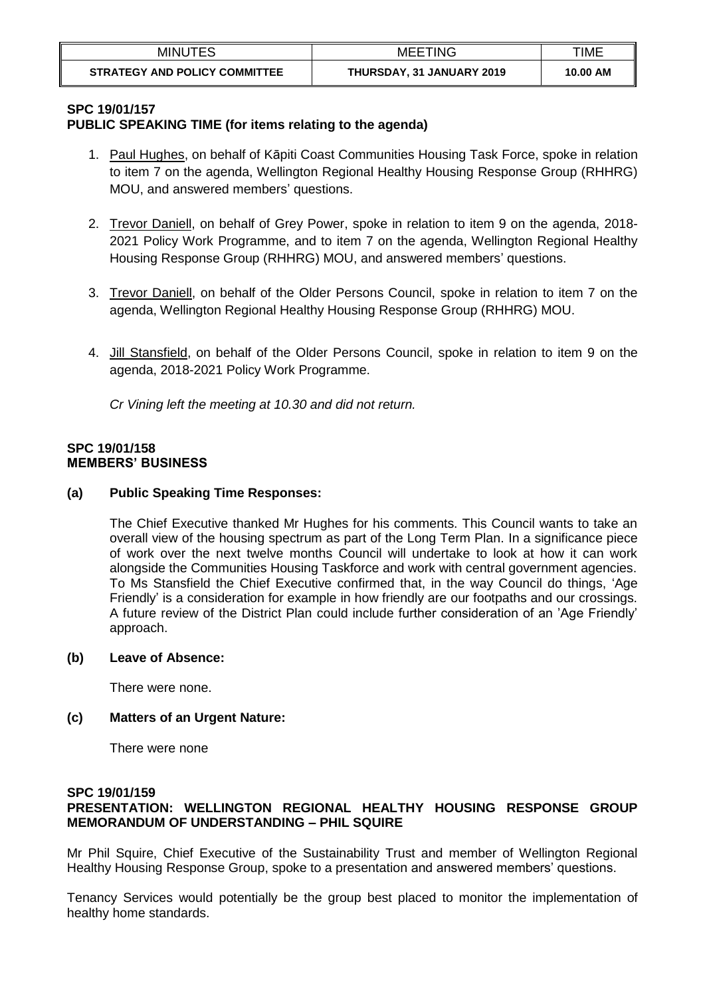| MINUTES                              | MEETING                   | TIME     |
|--------------------------------------|---------------------------|----------|
| <b>STRATEGY AND POLICY COMMITTEE</b> | THURSDAY, 31 JANUARY 2019 | 10.00 AM |

#### **SPC 19/01/157**

## **PUBLIC SPEAKING TIME (for items relating to the agenda)**

- 1. Paul Hughes, on behalf of Kāpiti Coast Communities Housing Task Force, spoke in relation to item 7 on the agenda, Wellington Regional Healthy Housing Response Group (RHHRG) MOU, and answered members' questions.
- 2. Trevor Daniell, on behalf of Grey Power, spoke in relation to item 9 on the agenda, 2018- 2021 Policy Work Programme, and to item 7 on the agenda, Wellington Regional Healthy Housing Response Group (RHHRG) MOU, and answered members' questions.
- 3. Trevor Daniell, on behalf of the Older Persons Council, spoke in relation to item 7 on the agenda, Wellington Regional Healthy Housing Response Group (RHHRG) MOU.
- 4. Jill Stansfield, on behalf of the Older Persons Council, spoke in relation to item 9 on the agenda, 2018-2021 Policy Work Programme.

*Cr Vining left the meeting at 10.30 and did not return.*

### **SPC 19/01/158 MEMBERS' BUSINESS**

### **(a) Public Speaking Time Responses:**

The Chief Executive thanked Mr Hughes for his comments. This Council wants to take an overall view of the housing spectrum as part of the Long Term Plan. In a significance piece of work over the next twelve months Council will undertake to look at how it can work alongside the Communities Housing Taskforce and work with central government agencies. To Ms Stansfield the Chief Executive confirmed that, in the way Council do things, 'Age Friendly' is a consideration for example in how friendly are our footpaths and our crossings. A future review of the District Plan could include further consideration of an 'Age Friendly' approach.

#### **(b) Leave of Absence:**

There were none.

## **(c) Matters of an Urgent Nature:**

There were none

#### **SPC 19/01/159 PRESENTATION: WELLINGTON REGIONAL HEALTHY HOUSING RESPONSE GROUP MEMORANDUM OF UNDERSTANDING – PHIL SQUIRE**

Mr Phil Squire, Chief Executive of the Sustainability Trust and member of Wellington Regional Healthy Housing Response Group, spoke to a presentation and answered members' questions.

Tenancy Services would potentially be the group best placed to monitor the implementation of healthy home standards.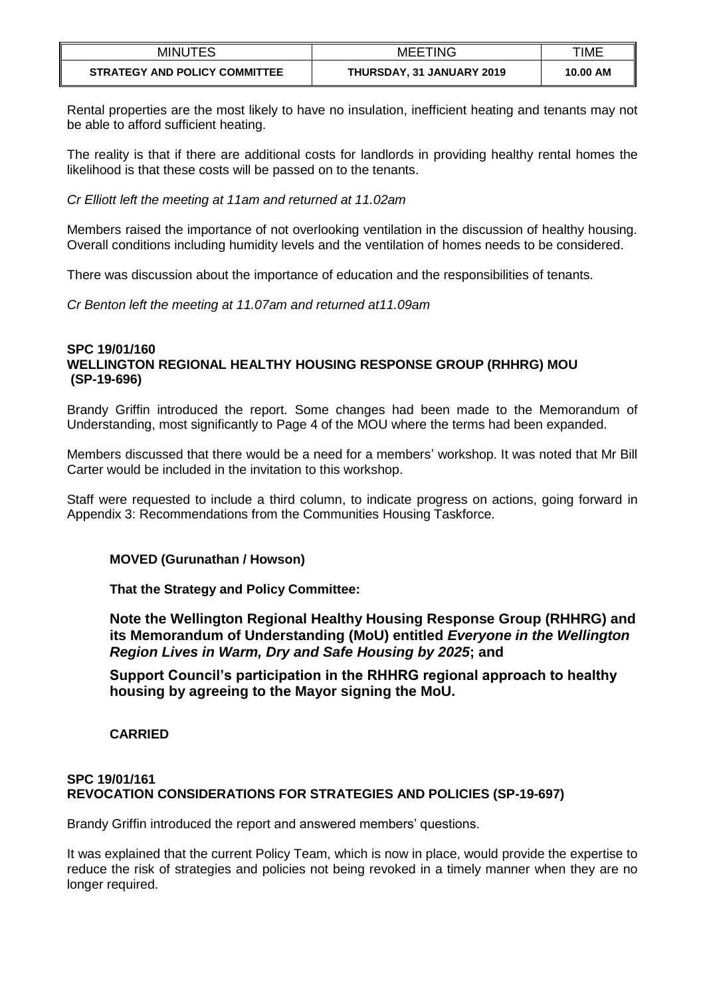| <b>MINUTES</b>                       | <b>MEETING</b>            | TIME     |
|--------------------------------------|---------------------------|----------|
| <b>STRATEGY AND POLICY COMMITTEE</b> | THURSDAY, 31 JANUARY 2019 | 10.00 AM |

Rental properties are the most likely to have no insulation, inefficient heating and tenants may not be able to afford sufficient heating.

The reality is that if there are additional costs for landlords in providing healthy rental homes the likelihood is that these costs will be passed on to the tenants.

*Cr Elliott left the meeting at 11am and returned at 11.02am*

Members raised the importance of not overlooking ventilation in the discussion of healthy housing. Overall conditions including humidity levels and the ventilation of homes needs to be considered.

There was discussion about the importance of education and the responsibilities of tenants.

*Cr Benton left the meeting at 11.07am and returned at11.09am*

#### **SPC 19/01/160 WELLINGTON REGIONAL HEALTHY HOUSING RESPONSE GROUP (RHHRG) MOU (SP-19-696)**

Brandy Griffin introduced the report. Some changes had been made to the Memorandum of Understanding, most significantly to Page 4 of the MOU where the terms had been expanded.

Members discussed that there would be a need for a members' workshop. It was noted that Mr Bill Carter would be included in the invitation to this workshop.

Staff were requested to include a third column, to indicate progress on actions, going forward in Appendix 3: Recommendations from the Communities Housing Taskforce.

## **MOVED (Gurunathan / Howson)**

**That the Strategy and Policy Committee:**

**Note the Wellington Regional Healthy Housing Response Group (RHHRG) and its Memorandum of Understanding (MoU) entitled** *Everyone in the Wellington Region Lives in Warm, Dry and Safe Housing by 2025***; and**

**Support Council's participation in the RHHRG regional approach to healthy housing by agreeing to the Mayor signing the MoU.**

**CARRIED**

### **SPC 19/01/161 REVOCATION CONSIDERATIONS FOR STRATEGIES AND POLICIES (SP-19-697)**

Brandy Griffin introduced the report and answered members' questions.

It was explained that the current Policy Team, which is now in place, would provide the expertise to reduce the risk of strategies and policies not being revoked in a timely manner when they are no longer required.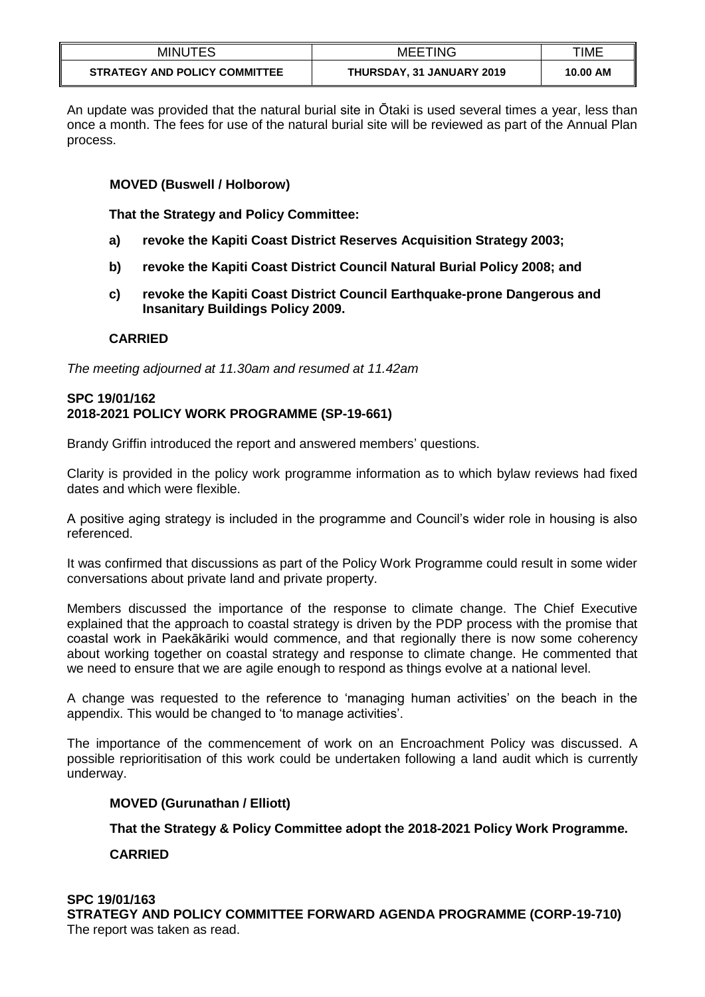| <b>MINUTES</b>                       | <b>MEETING</b>            | TIME     |
|--------------------------------------|---------------------------|----------|
| <b>STRATEGY AND POLICY COMMITTEE</b> | THURSDAY, 31 JANUARY 2019 | 10.00 AM |

An update was provided that the natural burial site in Ōtaki is used several times a year, less than once a month. The fees for use of the natural burial site will be reviewed as part of the Annual Plan process.

### **MOVED (Buswell / Holborow)**

**That the Strategy and Policy Committee:** 

- **a) revoke the Kapiti Coast District Reserves Acquisition Strategy 2003;**
- **b) revoke the Kapiti Coast District Council Natural Burial Policy 2008; and**
- **c) revoke the Kapiti Coast District Council Earthquake-prone Dangerous and Insanitary Buildings Policy 2009.**

### **CARRIED**

*The meeting adjourned at 11.30am and resumed at 11.42am*

## **SPC 19/01/162 2018-2021 POLICY WORK PROGRAMME (SP-19-661)**

Brandy Griffin introduced the report and answered members' questions.

Clarity is provided in the policy work programme information as to which bylaw reviews had fixed dates and which were flexible.

A positive aging strategy is included in the programme and Council's wider role in housing is also referenced.

It was confirmed that discussions as part of the Policy Work Programme could result in some wider conversations about private land and private property.

Members discussed the importance of the response to climate change. The Chief Executive explained that the approach to coastal strategy is driven by the PDP process with the promise that coastal work in Paekākāriki would commence, and that regionally there is now some coherency about working together on coastal strategy and response to climate change. He commented that we need to ensure that we are agile enough to respond as things evolve at a national level.

A change was requested to the reference to 'managing human activities' on the beach in the appendix. This would be changed to 'to manage activities'.

The importance of the commencement of work on an Encroachment Policy was discussed. A possible reprioritisation of this work could be undertaken following a land audit which is currently underway.

#### **MOVED (Gurunathan / Elliott)**

#### **That the Strategy & Policy Committee adopt the 2018-2021 Policy Work Programme.**

## **CARRIED**

## **SPC 19/01/163 STRATEGY AND POLICY COMMITTEE FORWARD AGENDA PROGRAMME (CORP-19-710)** The report was taken as read.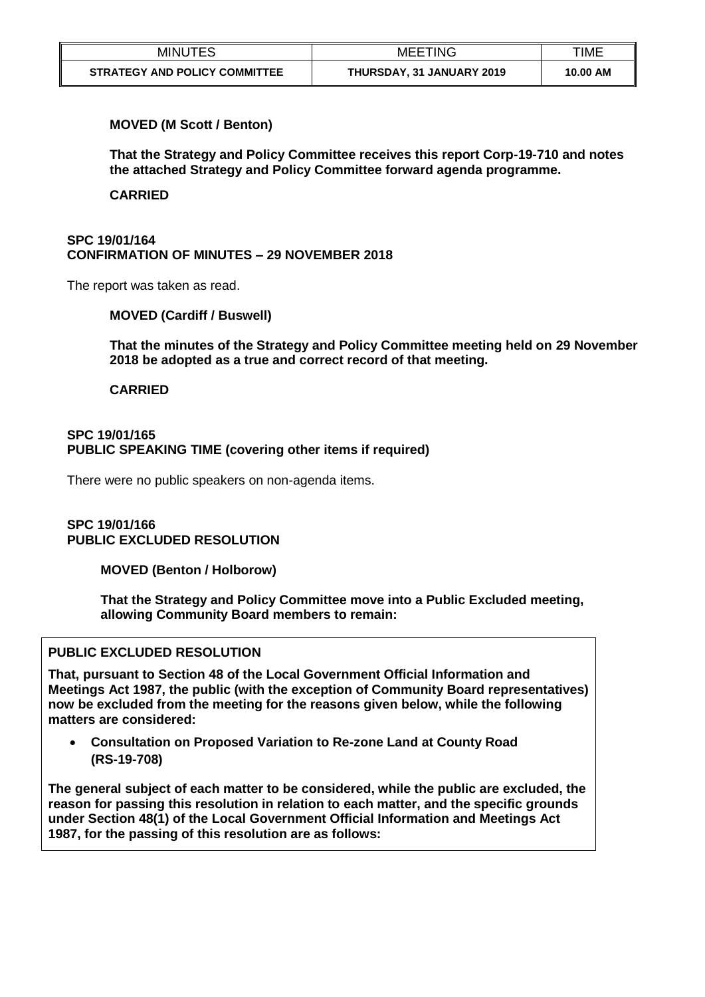| <b>MINUTES</b>                       | <b>MEETING</b>            | TIME     |
|--------------------------------------|---------------------------|----------|
| <b>STRATEGY AND POLICY COMMITTEE</b> | THURSDAY, 31 JANUARY 2019 | 10.00 AM |

### **MOVED (M Scott / Benton)**

**That the Strategy and Policy Committee receives this report Corp-19-710 and notes the attached Strategy and Policy Committee forward agenda programme.** 

**CARRIED**

## **SPC 19/01/164 CONFIRMATION OF MINUTES – 29 NOVEMBER 2018**

The report was taken as read.

## **MOVED (Cardiff / Buswell)**

**That the minutes of the Strategy and Policy Committee meeting held on 29 November 2018 be adopted as a true and correct record of that meeting.**

### **CARRIED**

### **SPC 19/01/165 PUBLIC SPEAKING TIME (covering other items if required)**

There were no public speakers on non-agenda items.

### **SPC 19/01/166 PUBLIC EXCLUDED RESOLUTION**

**MOVED (Benton / Holborow)**

**That the Strategy and Policy Committee move into a Public Excluded meeting, allowing Community Board members to remain:**

## **PUBLIC EXCLUDED RESOLUTION**

**That, pursuant to Section 48 of the Local Government Official Information and Meetings Act 1987, the public (with the exception of Community Board representatives) now be excluded from the meeting for the reasons given below, while the following matters are considered:**

 **Consultation on Proposed Variation to Re-zone Land at County Road (RS-19-708)**

**The general subject of each matter to be considered, while the public are excluded, the reason for passing this resolution in relation to each matter, and the specific grounds under Section 48(1) of the Local Government Official Information and Meetings Act 1987, for the passing of this resolution are as follows:**